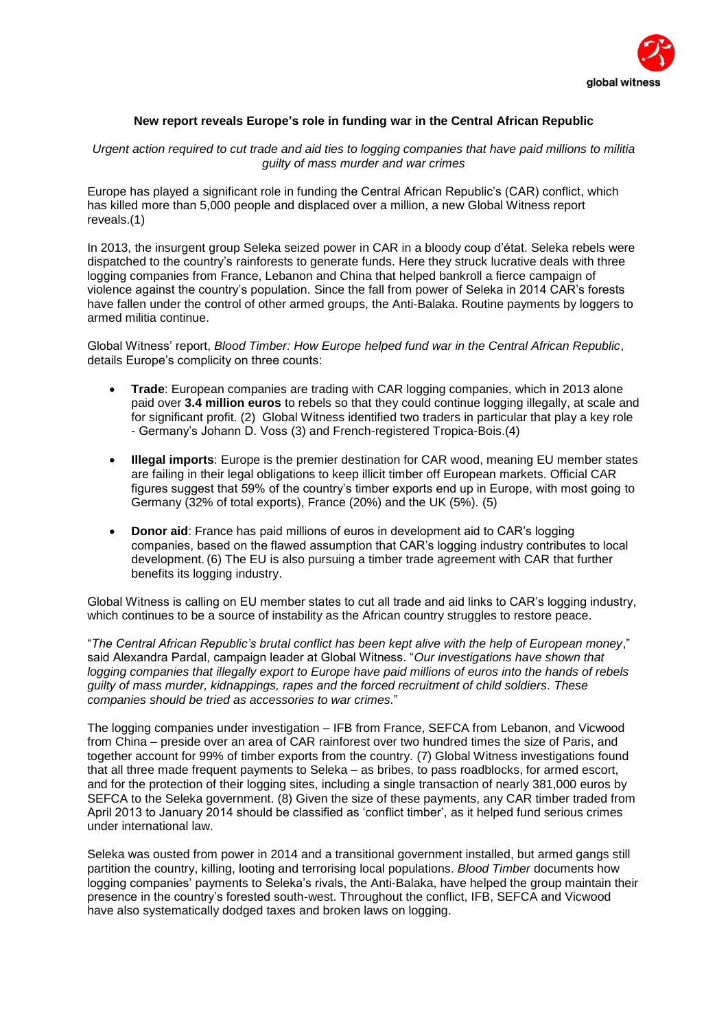

## **New report reveals Europe's role in funding war in the Central African Republic**

*Urgent action required to cut trade and aid ties to logging companies that have paid millions to militia guilty of mass murder and war crimes*

Europe has played a significant role in funding the Central African Republic's (CAR) conflict, which has killed more than 5,000 people and displaced over a million, a new Global Witness report reveals.(1)

In 2013, the insurgent group Seleka seized power in CAR in a bloody coup d'état. Seleka rebels were dispatched to the country's rainforests to generate funds. Here they struck lucrative deals with three logging companies from France, Lebanon and China that helped bankroll a fierce campaign of violence against the country's population. Since the fall from power of Seleka in 2014 CAR's forests have fallen under the control of other armed groups, the Anti-Balaka. Routine payments by loggers to armed militia continue.

Global Witness' report, *Blood Timber: How Europe helped fund war in the Central African Republic*, details Europe's complicity on three counts:

- **Trade**: European companies are trading with CAR logging companies, which in 2013 alone paid over **3.4 million euros** to rebels so that they could continue logging illegally, at scale and for significant profit. (2) Global Witness identified two traders in particular that play a key role - Germany's Johann D. Voss (3) and French-registered Tropica-Bois.(4)
- **Illegal imports**: Europe is the premier destination for CAR wood, meaning EU member states are failing in their legal obligations to keep illicit timber off European markets. Official CAR figures suggest that 59% of the country's timber exports end up in Europe, with most going to Germany (32% of total exports), France (20%) and the UK (5%). (5)
- **Donor aid**: France has paid millions of euros in development aid to CAR's logging companies, based on the flawed assumption that CAR's logging industry contributes to local development. (6) The EU is also pursuing a timber trade agreement with CAR that further benefits its logging industry.

Global Witness is calling on EU member states to cut all trade and aid links to CAR's logging industry, which continues to be a source of instability as the African country struggles to restore peace.

"*The Central African Republic's brutal conflict has been kept alive with the help of European money*," said Alexandra Pardal, campaign leader at Global Witness. "*Our investigations have shown that logging companies that illegally export to Europe have paid millions of euros into the hands of rebels guilty of mass murder, kidnappings, rapes and the forced recruitment of child soldiers. These companies should be tried as accessories to war crimes.*"

The logging companies under investigation – IFB from France, SEFCA from Lebanon, and Vicwood from China – preside over an area of CAR rainforest over two hundred times the size of Paris, and together account for 99% of timber exports from the country. (7) Global Witness investigations found that all three made frequent payments to Seleka – as bribes, to pass roadblocks, for armed escort, and for the protection of their logging sites, including a single transaction of nearly 381,000 euros by SEFCA to the Seleka government. (8) Given the size of these payments, any CAR timber traded from April 2013 to January 2014 should be classified as 'conflict timber', as it helped fund serious crimes under international law.

Seleka was ousted from power in 2014 and a transitional government installed, but armed gangs still partition the country, killing, looting and terrorising local populations. *Blood Timber* documents how logging companies' payments to Seleka's rivals, the Anti-Balaka, have helped the group maintain their presence in the country's forested south-west. Throughout the conflict, IFB, SEFCA and Vicwood have also systematically dodged taxes and broken laws on logging.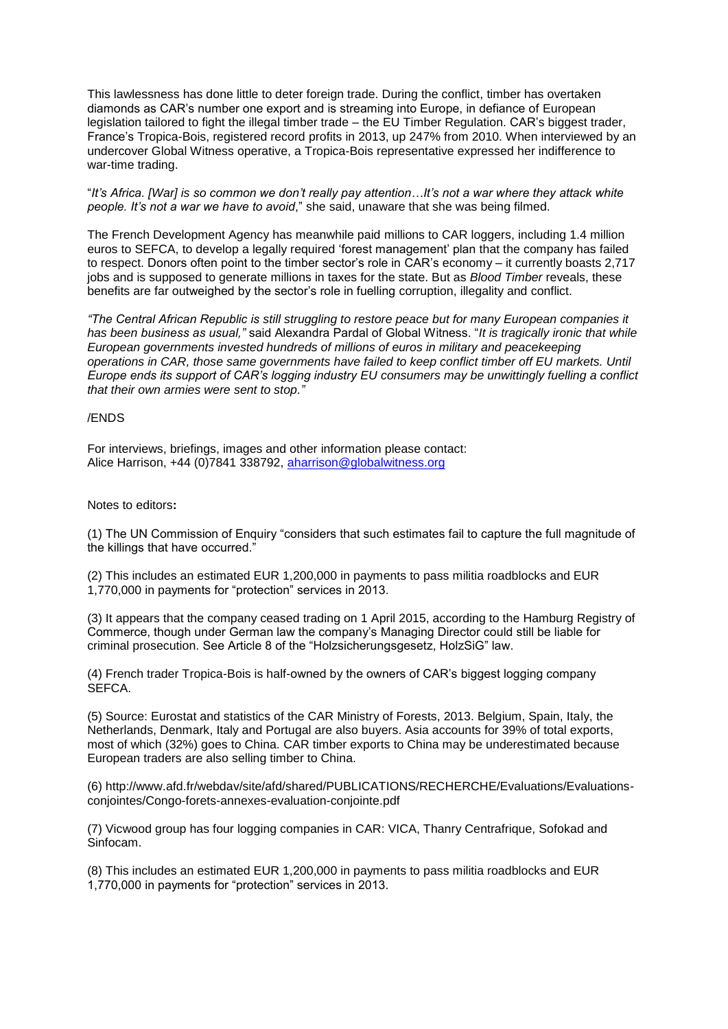This lawlessness has done little to deter foreign trade. During the conflict, timber has overtaken diamonds as CAR's number one export and is streaming into Europe, in defiance of European legislation tailored to fight the illegal timber trade – the EU Timber Regulation. CAR's biggest trader, France's Tropica-Bois, registered record profits in 2013, up 247% from 2010. When interviewed by an undercover Global Witness operative, a Tropica-Bois representative expressed her indifference to war-time trading.

"*It's Africa. [War] is so common we don't really pay attention…It's not a war where they attack white people. It's not a war we have to avoid*," she said, unaware that she was being filmed.

The French Development Agency has meanwhile paid millions to CAR loggers, including 1.4 million euros to SEFCA, to develop a legally required 'forest management' plan that the company has failed to respect. Donors often point to the timber sector's role in CAR's economy – it currently boasts 2,717 jobs and is supposed to generate millions in taxes for the state. But as *Blood Timber* reveals, these benefits are far outweighed by the sector's role in fuelling corruption, illegality and conflict.

*"The Central African Republic is still struggling to restore peace but for many European companies it has been business as usual,"* said Alexandra Pardal of Global Witness. "*It is tragically ironic that while European governments invested hundreds of millions of euros in military and peacekeeping operations in CAR, those same governments have failed to keep conflict timber off EU markets. Until Europe ends its support of CAR's logging industry EU consumers may be unwittingly fuelling a conflict that their own armies were sent to stop."*

## /ENDS

For interviews, briefings, images and other information please contact: Alice Harrison, +44 (0)7841 338792, [aharrison@globalwitness.org](mailto:aharrison@globalwitness.org)

## Notes to editors**:**

(1) The UN Commission of Enquiry "considers that such estimates fail to capture the full magnitude of the killings that have occurred."

(2) This includes an estimated EUR 1,200,000 in payments to pass militia roadblocks and EUR 1,770,000 in payments for "protection" services in 2013.

(3) It appears that the company ceased trading on 1 April 2015, according to the Hamburg Registry of Commerce, though under German law the company's Managing Director could still be liable for criminal prosecution. See Article 8 of the "Holzsicherungsgesetz, HolzSiG" law.

(4) French trader Tropica-Bois is half-owned by the owners of CAR's biggest logging company SEFCA.

(5) Source: Eurostat and statistics of the CAR Ministry of Forests, 2013. Belgium, Spain, Italy, the Netherlands, Denmark, Italy and Portugal are also buyers. Asia accounts for 39% of total exports, most of which (32%) goes to China. CAR timber exports to China may be underestimated because European traders are also selling timber to China.

(6) http://www.afd.fr/webdav/site/afd/shared/PUBLICATIONS/RECHERCHE/Evaluations/Evaluationsconjointes/Congo-forets-annexes-evaluation-conjointe.pdf

(7) Vicwood group has four logging companies in CAR: VICA, Thanry Centrafrique, Sofokad and Sinfocam.

(8) This includes an estimated EUR 1,200,000 in payments to pass militia roadblocks and EUR 1,770,000 in payments for "protection" services in 2013.